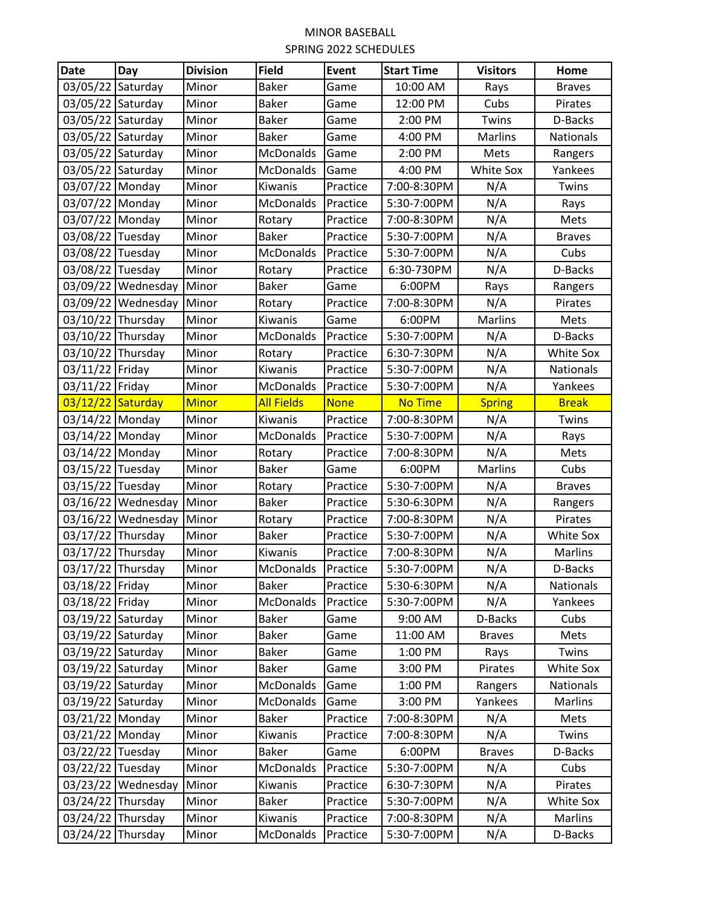| <b>Date</b>       | Day                | <b>Division</b> | <b>Field</b>              | Event                | <b>Start Time</b>          | <b>Visitors</b> | Home                 |
|-------------------|--------------------|-----------------|---------------------------|----------------------|----------------------------|-----------------|----------------------|
| 03/05/22          | Saturday           | Minor           | <b>Baker</b>              | Game                 | 10:00 AM                   | Rays            | <b>Braves</b>        |
| 03/05/22          | Saturday           | Minor           | <b>Baker</b>              | Game                 | 12:00 PM                   | Cubs            | Pirates              |
| 03/05/22          | Saturday           | Minor           | <b>Baker</b>              | Game                 | 2:00 PM                    | Twins           | D-Backs              |
| 03/05/22          | Saturday           | Minor           | <b>Baker</b>              | Game                 | 4:00 PM                    | Marlins         | <b>Nationals</b>     |
| 03/05/22 Saturday |                    | Minor           | McDonalds                 | Game                 | 2:00 PM                    | Mets            | Rangers              |
| 03/05/22          | Saturday           | Minor           | <b>McDonalds</b>          | Game                 | 4:00 PM                    | White Sox       | Yankees              |
| 03/07/22          | Monday             | Minor           | Kiwanis                   | Practice             | 7:00-8:30PM                | N/A             | Twins                |
| 03/07/22          | Monday             | Minor           | <b>McDonalds</b>          | Practice             | 5:30-7:00PM                | N/A             | Rays                 |
| 03/07/22 Monday   |                    | Minor           | Rotary                    | Practice             | 7:00-8:30PM                | N/A             | Mets                 |
| 03/08/22 Tuesday  |                    | Minor           | <b>Baker</b>              | Practice             | 5:30-7:00PM                | N/A             | <b>Braves</b>        |
| 03/08/22 Tuesday  |                    | Minor           | <b>McDonalds</b>          | Practice             | 5:30-7:00PM                | N/A             | Cubs                 |
| 03/08/22          | Tuesday            | Minor           | Rotary                    | Practice             | 6:30-730PM                 | N/A             | D-Backs              |
| 03/09/22          | Wednesday          | Minor           | <b>Baker</b>              | Game                 | 6:00PM                     | Rays            | Rangers              |
|                   | 03/09/22 Wednesday | Minor           | Rotary                    | Practice             | 7:00-8:30PM                | N/A             | Pirates              |
| 03/10/22          | Thursday           | Minor           | Kiwanis                   | Game                 | 6:00PM                     | Marlins         | Mets                 |
| 03/10/22          | Thursday           | Minor           | McDonalds                 | Practice             | 5:30-7:00PM                | N/A             | D-Backs              |
| 03/10/22          | Thursday           | Minor           | Rotary                    | Practice             | 6:30-7:30PM                | N/A             | White Sox            |
| 03/11/22          | Friday             | Minor           | Kiwanis                   | Practice             | 5:30-7:00PM                | N/A             | Nationals            |
| 03/11/22          | Friday             | Minor           | <b>McDonalds</b>          | Practice             | 5:30-7:00PM                | N/A             | Yankees              |
| 03/12/22          | Saturday           | <b>Minor</b>    | <b>All Fields</b>         | <b>None</b>          | <b>No Time</b>             | <b>Spring</b>   | <b>Break</b>         |
| 03/14/22          | Monday             | Minor           | Kiwanis                   | Practice             | 7:00-8:30PM                | N/A             | Twins                |
| 03/14/22          | Monday             | Minor           | <b>McDonalds</b>          | Practice             | 5:30-7:00PM                | N/A             | Rays                 |
| 03/14/22 Monday   |                    | Minor           | Rotary                    | Practice             | 7:00-8:30PM                | N/A             | Mets                 |
| 03/15/22          | Tuesday            | Minor           | <b>Baker</b>              | Game                 | 6:00PM                     | Marlins         | Cubs                 |
| 03/15/22 Tuesday  |                    | Minor           | Rotary                    | Practice             | 5:30-7:00PM                | N/A             | <b>Braves</b>        |
| 03/16/22          | Wednesday          | Minor           | <b>Baker</b>              | Practice             | 5:30-6:30PM                | N/A             | Rangers              |
| 03/16/22          | Wednesday          | Minor           | Rotary                    | Practice             | 7:00-8:30PM                | N/A             | Pirates              |
| 03/17/22          | Thursday           | Minor           | <b>Baker</b>              | Practice             | 5:30-7:00PM                | N/A             | White Sox            |
| 03/17/22          | Thursday           | Minor           | Kiwanis                   | Practice             | 7:00-8:30PM                | N/A             | <b>Marlins</b>       |
| 03/17/22 Thursday |                    | Minor           | <b>McDonalds</b>          | Practice             | 5:30-7:00PM                | N/A             | D-Backs              |
| 03/18/22 Friday   |                    | Minor           | <b>Baker</b>              | Practice             | 5:30-6:30PM                | N/A             | Nationals            |
| 03/18/22 Friday   |                    | Minor           | McDonalds                 | Practice             | 5:30-7:00PM                | N/A             | Yankees              |
| 03/19/22 Saturday |                    | Minor           | <b>Baker</b>              | Game                 | 9:00 AM                    | D-Backs         | Cubs                 |
| 03/19/22 Saturday |                    | Minor           | <b>Baker</b>              | Game                 | 11:00 AM                   | <b>Braves</b>   | Mets                 |
| 03/19/22 Saturday |                    | Minor           | <b>Baker</b>              | Game                 | 1:00 PM                    | Rays            | Twins                |
| 03/19/22 Saturday |                    | Minor           | <b>Baker</b>              | Game                 | 3:00 PM                    | Pirates         | White Sox            |
| 03/19/22 Saturday |                    | Minor           | McDonalds                 | Game                 | 1:00 PM                    | Rangers         | <b>Nationals</b>     |
| 03/19/22 Saturday |                    | Minor           | <b>McDonalds</b>          | Game                 | 3:00 PM                    | Yankees         | Marlins              |
| 03/21/22 Monday   |                    | Minor           | <b>Baker</b>              | Practice             | 7:00-8:30PM                | N/A             | Mets                 |
| 03/21/22 Monday   |                    | Minor           | Kiwanis                   | Practice             | 7:00-8:30PM                | N/A             | Twins                |
| 03/22/22 Tuesday  |                    | Minor           | <b>Baker</b><br>McDonalds | Game<br>Practice     | 6:00PM                     | <b>Braves</b>   | D-Backs              |
| 03/22/22 Tuesday  |                    | Minor           |                           |                      | 5:30-7:00PM<br>6:30-7:30PM | N/A             | Cubs                 |
| 03/24/22 Thursday | 03/23/22 Wednesday | Minor<br>Minor  | Kiwanis<br><b>Baker</b>   | Practice<br>Practice | 5:30-7:00PM                | N/A<br>N/A      | Pirates<br>White Sox |
| 03/24/22 Thursday |                    | Minor           | Kiwanis                   | Practice             | 7:00-8:30PM                | N/A             | Marlins              |
|                   |                    |                 |                           |                      |                            |                 |                      |
| 03/24/22 Thursday |                    | Minor           | McDonalds                 | Practice             | 5:30-7:00PM                | N/A             | D-Backs              |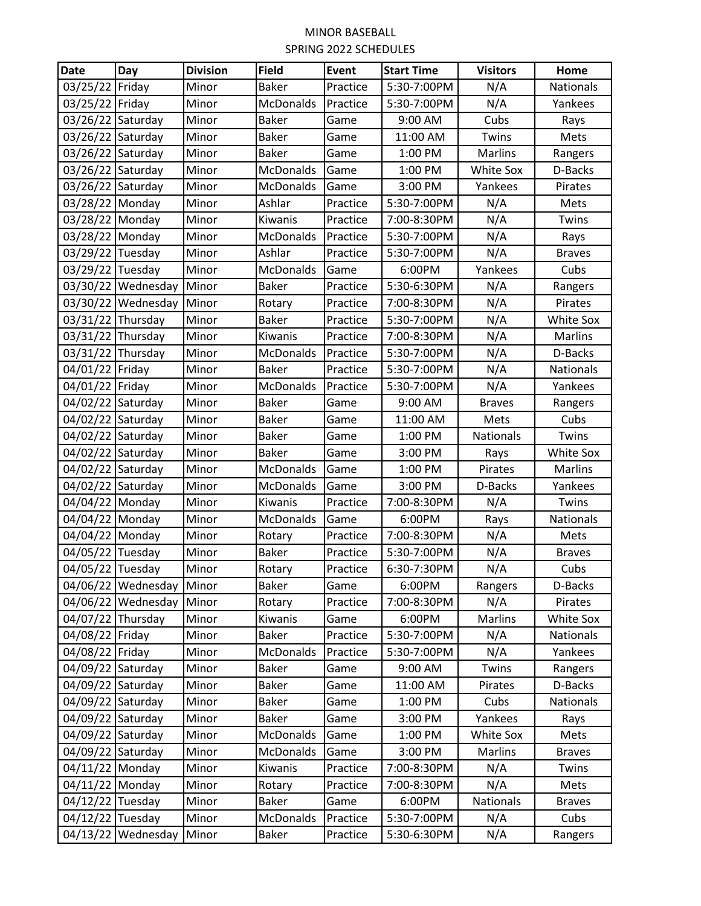| <b>Date</b>       | Day                | <b>Division</b> | <b>Field</b>     | <b>Event</b> | <b>Start Time</b> | <b>Visitors</b>  | Home             |
|-------------------|--------------------|-----------------|------------------|--------------|-------------------|------------------|------------------|
| 03/25/22          | Friday             | Minor           | <b>Baker</b>     | Practice     | 5:30-7:00PM       | N/A              | <b>Nationals</b> |
| 03/25/22          | Friday             | Minor           | <b>McDonalds</b> | Practice     | 5:30-7:00PM       | N/A              | Yankees          |
| 03/26/22          | Saturday           | Minor           | <b>Baker</b>     | Game         | 9:00 AM           | Cubs             | Rays             |
| 03/26/22 Saturday |                    | Minor           | <b>Baker</b>     | Game         | 11:00 AM          | Twins            | Mets             |
| 03/26/22 Saturday |                    | Minor           | <b>Baker</b>     | Game         | 1:00 PM           | Marlins          | Rangers          |
| 03/26/22          | Saturday           | Minor           | <b>McDonalds</b> | Game         | 1:00 PM           | White Sox        | D-Backs          |
| 03/26/22          | Saturday           | Minor           | <b>McDonalds</b> | Game         | 3:00 PM           | Yankees          | Pirates          |
| 03/28/22          | Monday             | Minor           | Ashlar           | Practice     | 5:30-7:00PM       | N/A              | Mets             |
| 03/28/22 Monday   |                    | Minor           | Kiwanis          | Practice     | 7:00-8:30PM       | N/A              | Twins            |
| 03/28/22 Monday   |                    | Minor           | <b>McDonalds</b> | Practice     | 5:30-7:00PM       | N/A              | Rays             |
| 03/29/22 Tuesday  |                    | Minor           | Ashlar           | Practice     | 5:30-7:00PM       | N/A              | <b>Braves</b>    |
| 03/29/22          | Tuesday            | Minor           | <b>McDonalds</b> | Game         | 6:00PM            | Yankees          | Cubs             |
|                   | 03/30/22 Wednesday | Minor           | <b>Baker</b>     | Practice     | 5:30-6:30PM       | N/A              | Rangers          |
|                   | 03/30/22 Wednesday | Minor           | Rotary           | Practice     | 7:00-8:30PM       | N/A              | Pirates          |
| 03/31/22 Thursday |                    | Minor           | <b>Baker</b>     | Practice     | 5:30-7:00PM       | N/A              | White Sox        |
| 03/31/22          | Thursday           | Minor           | Kiwanis          | Practice     | 7:00-8:30PM       | N/A              | <b>Marlins</b>   |
| 03/31/22          | Thursday           | Minor           | <b>McDonalds</b> | Practice     | 5:30-7:00PM       | N/A              | D-Backs          |
| 04/01/22          | Friday             | Minor           | <b>Baker</b>     | Practice     | 5:30-7:00PM       | N/A              | Nationals        |
| 04/01/22          | Friday             | Minor           | <b>McDonalds</b> | Practice     | 5:30-7:00PM       | N/A              | Yankees          |
| 04/02/22          | Saturday           | Minor           | <b>Baker</b>     | Game         | 9:00 AM           | <b>Braves</b>    | Rangers          |
| 04/02/22          | Saturday           | Minor           | <b>Baker</b>     | Game         | 11:00 AM          | Mets             | Cubs             |
| 04/02/22          | Saturday           | Minor           | <b>Baker</b>     | Game         | 1:00 PM           | <b>Nationals</b> | Twins            |
| 04/02/22          | Saturday           | Minor           | <b>Baker</b>     | Game         | 3:00 PM           | Rays             | White Sox        |
| 04/02/22          | Saturday           | Minor           | McDonalds        | Game         | 1:00 PM           | Pirates          | <b>Marlins</b>   |
| 04/02/22          | Saturday           | Minor           | <b>McDonalds</b> | Game         | 3:00 PM           | D-Backs          | Yankees          |
| 04/04/22          | Monday             | Minor           | Kiwanis          | Practice     | 7:00-8:30PM       | N/A              | Twins            |
| 04/04/22          | Monday             | Minor           | <b>McDonalds</b> | Game         | 6:00PM            | Rays             | Nationals        |
| 04/04/22 Monday   |                    | Minor           | Rotary           | Practice     | 7:00-8:30PM       | N/A              | Mets             |
| 04/05/22 Tuesday  |                    | Minor           | <b>Baker</b>     | Practice     | 5:30-7:00PM       | N/A              | <b>Braves</b>    |
| 04/05/22 Tuesday  |                    | Minor           | Rotary           | Practice     | 6:30-7:30PM       | N/A              | Cubs             |
|                   | 04/06/22 Wednesday | Minor           | <b>Baker</b>     | Game         | 6:00PM            | Rangers          | D-Backs          |
|                   | 04/06/22 Wednesday | Minor           | Rotary           | Practice     | 7:00-8:30PM       | N/A              | Pirates          |
| 04/07/22 Thursday |                    | Minor           | Kiwanis          | Game         | 6:00PM            | Marlins          | White Sox        |
| 04/08/22 Friday   |                    | Minor           | <b>Baker</b>     | Practice     | 5:30-7:00PM       | N/A              | Nationals        |
| 04/08/22 Friday   |                    | Minor           | <b>McDonalds</b> | Practice     | 5:30-7:00PM       | N/A              | Yankees          |
| 04/09/22 Saturday |                    | Minor           | <b>Baker</b>     | Game         | 9:00 AM           | Twins            | Rangers          |
| 04/09/22 Saturday |                    | Minor           | <b>Baker</b>     | Game         | 11:00 AM          | Pirates          | D-Backs          |
| 04/09/22 Saturday |                    | Minor           | <b>Baker</b>     | Game         | 1:00 PM           | Cubs             | Nationals        |
| 04/09/22          | Saturday           | Minor           | <b>Baker</b>     | Game         | 3:00 PM           | Yankees          | Rays             |
| 04/09/22 Saturday |                    | Minor           | <b>McDonalds</b> | Game         | 1:00 PM           | White Sox        | Mets             |
| 04/09/22 Saturday |                    | Minor           | McDonalds        | Game         | 3:00 PM           | Marlins          | <b>Braves</b>    |
| 04/11/22 Monday   |                    | Minor           | Kiwanis          | Practice     | 7:00-8:30PM       | N/A              | Twins            |
| 04/11/22 Monday   |                    | Minor           | Rotary           | Practice     | 7:00-8:30PM       | N/A              | Mets             |
| 04/12/22 Tuesday  |                    | Minor           | <b>Baker</b>     | Game         | 6:00PM            | Nationals        | <b>Braves</b>    |
| 04/12/22 Tuesday  |                    | Minor           | <b>McDonalds</b> | Practice     | 5:30-7:00PM       | N/A              | Cubs             |
|                   | 04/13/22 Wednesday | Minor           | <b>Baker</b>     | Practice     | 5:30-6:30PM       | N/A              | Rangers          |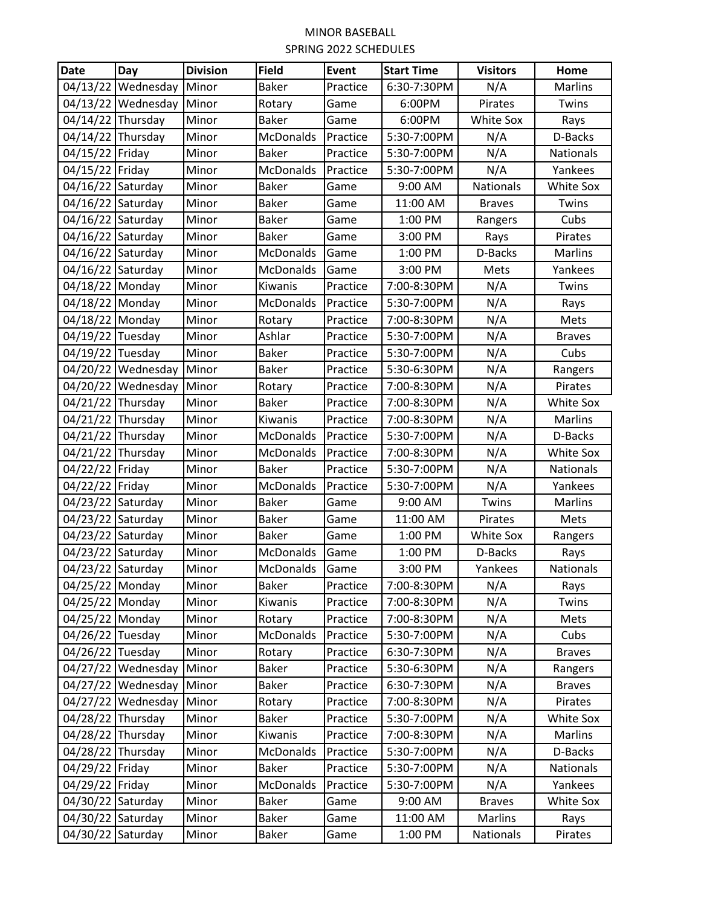| <b>Date</b>       | Day                | <b>Division</b> | <b>Field</b>     | <b>Event</b> | <b>Start Time</b> | <b>Visitors</b>  | Home             |
|-------------------|--------------------|-----------------|------------------|--------------|-------------------|------------------|------------------|
| 04/13/22          | Wednesday          | Minor           | <b>Baker</b>     | Practice     | 6:30-7:30PM       | N/A              | Marlins          |
| 04/13/22          | Wednesday          | Minor           | Rotary           | Game         | 6:00PM            | Pirates          | Twins            |
| 04/14/22          | Thursday           | Minor           | <b>Baker</b>     | Game         | 6:00PM            | White Sox        | Rays             |
| 04/14/22 Thursday |                    | Minor           | <b>McDonalds</b> | Practice     | 5:30-7:00PM       | N/A              | D-Backs          |
| 04/15/22 Friday   |                    | Minor           | <b>Baker</b>     | Practice     | 5:30-7:00PM       | N/A              | Nationals        |
| 04/15/22          | Friday             | Minor           | <b>McDonalds</b> | Practice     | 5:30-7:00PM       | N/A              | Yankees          |
| 04/16/22          | Saturday           | Minor           | <b>Baker</b>     | Game         | 9:00 AM           | <b>Nationals</b> | <b>White Sox</b> |
| 04/16/22          | Saturday           | Minor           | <b>Baker</b>     | Game         | 11:00 AM          | <b>Braves</b>    | Twins            |
| 04/16/22          | Saturday           | Minor           | <b>Baker</b>     | Game         | 1:00 PM           | Rangers          | Cubs             |
| 04/16/22          | Saturday           | Minor           | <b>Baker</b>     | Game         | 3:00 PM           | Rays             | Pirates          |
| 04/16/22          | Saturday           | Minor           | <b>McDonalds</b> | Game         | 1:00 PM           | D-Backs          | <b>Marlins</b>   |
| 04/16/22          | Saturday           | Minor           | <b>McDonalds</b> | Game         | 3:00 PM           | Mets             | Yankees          |
| 04/18/22 Monday   |                    | Minor           | Kiwanis          | Practice     | 7:00-8:30PM       | N/A              | Twins            |
| 04/18/22 Monday   |                    | Minor           | <b>McDonalds</b> | Practice     | 5:30-7:00PM       | N/A              | Rays             |
| 04/18/22          | Monday             | Minor           | Rotary           | Practice     | 7:00-8:30PM       | N/A              | Mets             |
| 04/19/22 Tuesday  |                    | Minor           | Ashlar           | Practice     | 5:30-7:00PM       | N/A              | <b>Braves</b>    |
| 04/19/22          | Tuesday            | Minor           | <b>Baker</b>     | Practice     | 5:30-7:00PM       | N/A              | Cubs             |
|                   | 04/20/22 Wednesday | Minor           | <b>Baker</b>     | Practice     | 5:30-6:30PM       | N/A              | Rangers          |
|                   | 04/20/22 Wednesday | Minor           | Rotary           | Practice     | 7:00-8:30PM       | N/A              | Pirates          |
| 04/21/22          | Thursday           | Minor           | <b>Baker</b>     | Practice     | 7:00-8:30PM       | N/A              | White Sox        |
| 04/21/22          | Thursday           | Minor           | Kiwanis          | Practice     | 7:00-8:30PM       | N/A              | Marlins          |
| 04/21/22          | Thursday           | Minor           | <b>McDonalds</b> | Practice     | 5:30-7:00PM       | N/A              | D-Backs          |
| 04/21/22 Thursday |                    | Minor           | <b>McDonalds</b> | Practice     | 7:00-8:30PM       | N/A              | White Sox        |
| 04/22/22 Friday   |                    | Minor           | <b>Baker</b>     | Practice     | 5:30-7:00PM       | N/A              | <b>Nationals</b> |
| 04/22/22          | Friday             | Minor           | <b>McDonalds</b> | Practice     | 5:30-7:00PM       | N/A              | Yankees          |
| 04/23/22          | Saturday           | Minor           | <b>Baker</b>     | Game         | 9:00 AM           | Twins            | <b>Marlins</b>   |
| 04/23/22          | Saturday           | Minor           | <b>Baker</b>     | Game         | 11:00 AM          | Pirates          | Mets             |
| 04/23/22          | Saturday           | Minor           | <b>Baker</b>     | Game         | 1:00 PM           | White Sox        | Rangers          |
| 04/23/22          | Saturday           | Minor           | <b>McDonalds</b> | Game         | 1:00 PM           | D-Backs          | Rays             |
| 04/23/22 Saturday |                    | Minor           | <b>McDonalds</b> | Game         | 3:00 PM           | Yankees          | Nationals        |
| 04/25/22 Monday   |                    | Minor           | <b>Baker</b>     | Practice     | 7:00-8:30PM       | N/A              | Rays             |
| 04/25/22 Monday   |                    | Minor           | Kiwanis          | Practice     | 7:00-8:30PM       | N/A              | Twins            |
| 04/25/22 Monday   |                    | Minor           | Rotary           | Practice     | 7:00-8:30PM       | N/A              | Mets             |
| 04/26/22 Tuesday  |                    | Minor           | <b>McDonalds</b> | Practice     | 5:30-7:00PM       | N/A              | Cubs             |
| 04/26/22 Tuesday  |                    | Minor           | Rotary           | Practice     | 6:30-7:30PM       | N/A              | <b>Braves</b>    |
|                   | 04/27/22 Wednesday | Minor           | <b>Baker</b>     | Practice     | 5:30-6:30PM       | N/A              | Rangers          |
|                   | 04/27/22 Wednesday | Minor           | <b>Baker</b>     | Practice     | 6:30-7:30PM       | N/A              | <b>Braves</b>    |
|                   | 04/27/22 Wednesday | Minor           | Rotary           | Practice     | 7:00-8:30PM       | N/A              | Pirates          |
| 04/28/22 Thursday |                    | Minor           | <b>Baker</b>     | Practice     | 5:30-7:00PM       | N/A              | White Sox        |
| 04/28/22 Thursday |                    | Minor           | Kiwanis          | Practice     | 7:00-8:30PM       | N/A              | Marlins          |
| 04/28/22 Thursday |                    | Minor           | McDonalds        | Practice     | 5:30-7:00PM       | N/A              | D-Backs          |
| 04/29/22 Friday   |                    | Minor           | <b>Baker</b>     | Practice     | 5:30-7:00PM       | N/A              | Nationals        |
| 04/29/22 Friday   |                    | Minor           | <b>McDonalds</b> | Practice     | 5:30-7:00PM       | N/A              | Yankees          |
| 04/30/22 Saturday |                    | Minor           | <b>Baker</b>     | Game         | 9:00 AM           | <b>Braves</b>    | White Sox        |
| 04/30/22 Saturday |                    | Minor           | <b>Baker</b>     | Game         | 11:00 AM          | Marlins          | Rays             |
| 04/30/22 Saturday |                    | Minor           | <b>Baker</b>     | Game         | 1:00 PM           | Nationals        | Pirates          |